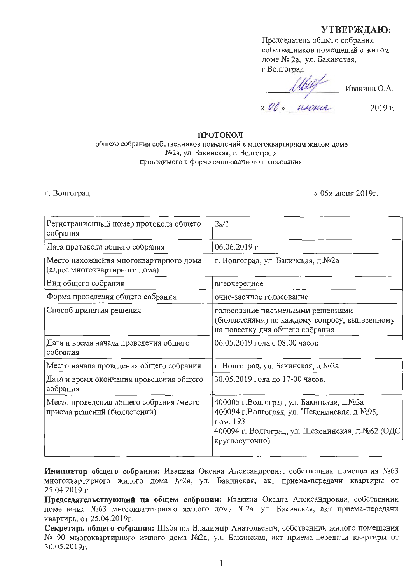## УТВЕРЖДАЮ:

Председатель общего собрания собственников помещений в жилом доме № 2а, ул. Бакинская, г.Волгоград

Ивакина О.А. « $0b$ » usouch 2019 г.

#### **ПРОТОКОЛ**

общего собрания собственников помещений в многоквартирном жилом доме №2а, ул. Бакинская, г. Волгограда проводимого в форме очно-заочного голосования.

#### г. Волгоград

« 06» июня 2019г.

| Регистрационный номер протокола общего<br>собрания                      | 2a/1                                                                                                                                                                        |
|-------------------------------------------------------------------------|-----------------------------------------------------------------------------------------------------------------------------------------------------------------------------|
| Дата протокола общего собрания                                          | $06.06.2019$ r.                                                                                                                                                             |
| Место нахождения многоквартирного дома<br>(адрес многоквартирного дома) | г. Волгоград, ул. Бакинская, д.№2а                                                                                                                                          |
| Вид общего собрания                                                     | внеочередное                                                                                                                                                                |
| Форма проведения общего собрания                                        | очно-заочное голосование                                                                                                                                                    |
| Способ принятия решения                                                 | голосование письменными решениями<br>(бюллетенями) по каждому вопросу, вынесенному<br>на повестку дня общего собрания                                                       |
| Дата и время начала проведения общего<br>собрания                       | 06.05.2019 года с 08:00 часов                                                                                                                                               |
| Место начала проведения общего собрания                                 | г. Волгоград, ул. Бакинская, д.№2а                                                                                                                                          |
| Дата и время окончания проведения общего<br>собрания                    | 30.05.2019 года до 17-00 часов.                                                                                                                                             |
| Место проведения общего собрания /место<br>приема решений (бюллетений)  | 400005 г.Волгоград, ул. Бакинская, д.№2а<br>400094 г. Волгоград, ул. Шекснинская, д. №95,<br>пом. 193<br>400094 г. Волгоград, ул. Шекснинская, д.№62 (ОДС<br>круглосуточно) |

Инициатор общего собрания: Ивакина Оксана Александровна, собственник помещения №63 многоквартирного жилого дома №2а, ул. Бакинская, акт приема-передачи квартиры от 25.04.2019 г.

Председательствующий на общем собрании: Ивакина Оксана Александровна, собственник помещения №63 многоквартирного жилого дома №2а. ул. Бакинская, акт приема-передачи квартиры от 25.04.2019г.

Секретарь общего собрания: Шабанов Владимир Анатольевич, собственник жилого помещения № 90 многоквартирного жилого дома №2а, ул. Бакинская, акт приема-передачи квартиры от 30.05.2019г.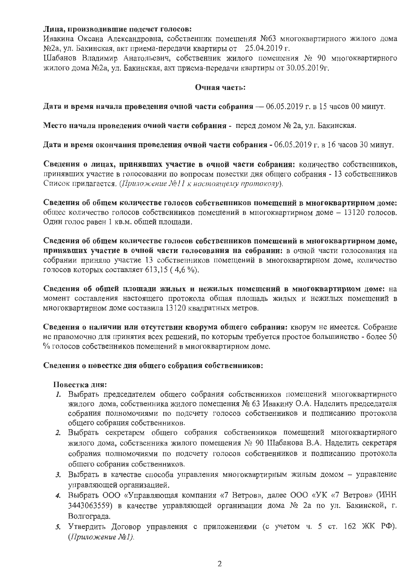#### Лица, производившие подсчет голосов:

Ивакина Оксана Александровна, собственник помещения №63 многоквартирного жилого дома №2а, ул. Бакинская, акт приема-передачи квартиры от 25.04.2019 г.

Шабанов Владимир Анатольевич, собственник жилого помещения № 90 многоквартирного жилого дома №2а, ул. Бакинская, акт приема-передачи квартиры от 30.05.2019г.

#### Очная часть:

Дата и время начала проведения очной части собрания - 06.05.2019 г. в 15 часов 00 минут.

Место начала проведения очной части собрания - перед домом № 2а, ул. Бакинская.

Дата и время окончания проведения очной части собрания - 06.05.2019 г. в 16 часов 30 минут.

Сведения о лицах, принявших участие в очной части собрания: количество собственников, принявших участие в голосовании по вопросам повестки дня общего собрания - 13 собственников Список прилагается. (Приложение Nell к настоящему протоколу).

Сведения об общем количестве голосов собственников помещений в многоквартирном доме: общее количество голосов собственников помещений в многоквартирном доме - 13120 голосов. Один голос равен 1 кв.м. общей площади.

Сведения об общем количестве голосов собственников помещений в многоквартирном доме, принявших участие в очной части голосования на собрании: в очной части голосования на собрании приняло участие 13 собственников помещений в многоквартирном доме, количество голосов которых составляет 613,15 (4,6 %).

Сведения об общей площади жилых и нежилых помещений в многоквартирном доме: на момент составления настоящего протокола общая площадь жилых и нежилых помещений в многоквартирном доме составила 13120 квадратных метров.

Сведения о наличии или отсутствии кворума общего собрания: кворум не имеется. Собрание не правомочно для принятия всех решений, по которым требуется простое большинство - более 50 % голосов собственников помещений в многоквартирном доме.

## Сведения о повестке дня общего собрания собственников:

#### Повестка лня:

- 1. Выбрать председателем общего собрания собственников помещений многоквартирного жилого дома, собственника жилого помещения № 63 Ивакину О.А. Наделить председателя собрания полномочиями по подсчету голосов собственников и подписанию протокола общего собрания собственников.
- 2. Выбрать секретарем общего собрания собственников помещений многоквартирного жилого дома, собственника жилого помещения № 90 Шабанова В.А. Наделить секретаря собрания полномочиями по подсчету голосов собственников и подписанию протокола общего собрания собственников.
- 3. Выбрать в качестве способа управления многоквартирным жильм домом управление управляющей организацией.
- 4. Выбрать ООО «Управляющая компания «7 Ветров», далее ООО «УК «7 Ветров» (ИНН 3443063559) в качестве управляющей организации дома № 2а по ул. Бакинской, г. Волгограда.
- 5. Утвердить Договор управления с приложениями (с учетом ч. 5 ст. 162 ЖК РФ). (Приложение №1).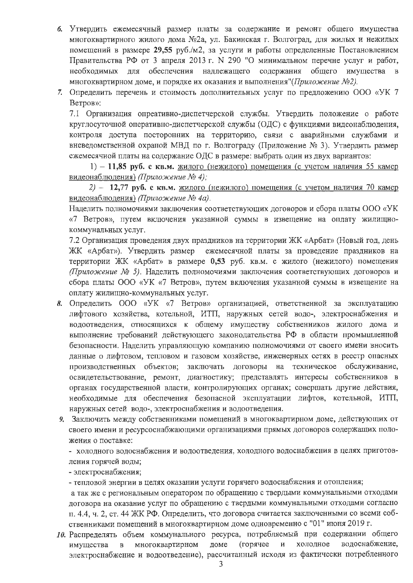- 6. Утвердить ежемесячный размер платы за содержание и ремонт общего имущества многоквартирного жилого дома №2а, ул. Бакинская г. Волгоград, для жилых и нежилых помещений в размере 29,55 руб./м2, за услуги и работы определенные Постановлением Правительства РФ от 3 апреля 2013 г. N 290 "О минимальном перечне услуг и работ, необходимых для обеспечения надлежащего содержания общего имущества в многоквартирном доме, и порядке их оказания и выполнения" (Приложение №2).
- 7. Определить перечень и стоимость дополнительных услуг по предложению ООО «УК 7 Ветров»:

7.1 Организация опреативно-диспетчерской службы. Утвердить положение о работе круглосуточной оперативно-диспетчерской службы (ОДС) с функциями видеонаблюдения, контроля доступа посторонних на территорию, связи с аварийными службами и вневедомственной охраной МВД по г. Волгограду (Приложение № 3). Утвердить размер ежемесячной платы на содержание ОДС в размере: выбрать один из двух вариантов:

1) - 11,85 руб. с кв.м. жилого (нежилого) помещения (с учетом наличия 55 камер видеонаблюдения) (Приложение № 4);

2) - 12,77 руб. с кв.м. жилого (нежилого) помещения (с учетом наличия 70 камер видеонаблюдения) (Приложение № 4а).

Наделить полномочиями заключения соответствующих договоров и сбора платы ООО «УК «7 Ветров», путем включения указанной суммы в извещение на оплату жилищнокоммунальных услуг.

7.2 Организация проведения двух праздников на территории ЖК «Арбат» (Новый год, день ЖК «Арбат»). Утвердить размер ежемесячной платы за проведение праздников на территории ЖК «Арбат» в размере 0,53 руб. кв.м. с жилого (нежилого) помещения (Приложение № 5). Наделить полномочиями заключения соответствующих договоров и сбора платы ООО «УК «7 Ветров», путем включения указанной суммы в извещение на оплату жилищно-коммунальных услуг.

- 8. Определить ООО «УК «7 Ветров» организацией, ответственной за эксплуатацию лифтового хозяйства, котельной, ИТП, наружных сетей водо-, электроснабжения и водоотведения, относящихся к общему имуществу собственников жилого дома и выполнение требований действующего законодательства РФ в области промышленной безопасности. Наделить управляющую компанию полномочиями от своего имени вносить данные о лифтовом, тепловом и газовом хозяйстве, инженерных сетях в реестр опасных производственных объектов; заключать договоры на техническое обслуживание, освидетельствование, ремонт, диагностику; представлять интересы собственников в органах государственной власти, контролирующих органах; совершать другие действия, необходимые для обеспечения безопасной эксплуатации лифтов, котельной, ИТП, наружных сетей водо-, электроснабжения и водоотведения.
- 9. Заключить между собственниками помещений в многоквартирном доме, действующих от своего имени и ресурсоснабжающими организациями прямых договоров содержащих положения о поставке:

- холодного водоснабжения и водоотведения, холодного водоснабжения в целях приготовления горячей воды;

- электроснабжения;

- тепловой энергии в целях оказании услуги горячего водоснабжения и отопления;

а так же с региональным оператором по обращению с твердыми коммунальными отходами договора на оказание услуг по обращению с твердыми коммунальными отходами согласно п. 4.4, ч. 2, ст. 44 ЖК РФ. Определить, что договора считается заключенными со всеми собственниками помещений в многоквартирном доме одновременно с "01" июня 2019 г.

10. Распределять объем коммунального ресурса, потребляемый при содержании общего водоснабжение, (горячее холодное имущества многоквартирном ломе  $\overline{\mathbf{M}}$  $\, {\bf B}$ электроснабжение и водоотведение), рассчитанный исходя из фактически потребленного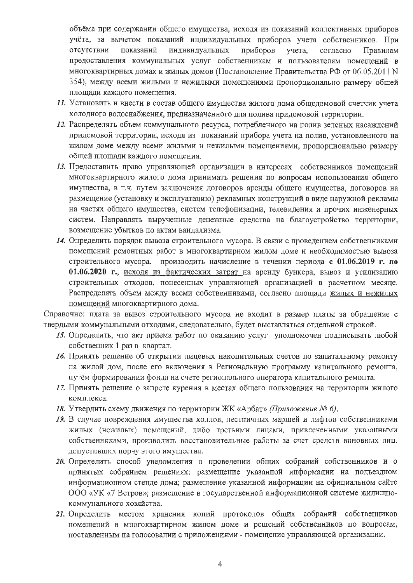объёма при содержании общего имущества, исходя из показаний коллективных приборов учёта, за вычетом показаний индивидуальных приборов учета собственников. При отсутствии показаний индивидуальных приборов учета. согласно Правилам предоставления коммунальных услуг собственникам и пользователям помещений в многоквартирных домах и жилых домов (Постановление Правительства РФ от 06.05.2011 N 354), между всеми жилыми и нежилыми помещениями пропорционально размеру общей площади каждого помещения.

- 11. Установить и внести в состав общего имущества жилого дома общедомовой счетчик учета холодного водоснабжения, предназначенного для полива придомовой территории.
- 12. Распределять объем коммунального ресурса, потребленного на полив зеленых насаждений придомовой территории, исходя из показаний прибора учета на полив, установленного на жилом доме между всеми жилыми и нежилыми помещениями, пропорционально размеру общей площади каждого помещения.
- 13. Предоставить право управляющей организации в интересах собственников помещений многоквартирного жилого дома принимать решения по вопросам использования общего имущества, в т.ч. путем заключения договоров аренды общего имущества, договоров на размещение (установку и эксплуатацию) рекламных конструкций в виде наружной рекламы на частях общего имущества, систем телефонизации, телевидения и прочих инженерных систем. Направлять вырученные денежные средства на благоустройство территории, возмещение убытков по актам вандализма.
- 14. Определить порядок вывоза строительного мусора. В связи с проведением собственниками помещений ремонтных работ в многоквартирном жилом доме и необходимостью вывоза строительного мусора, производить начисление в течении периода с 01.06.2019 г. по 01.06.2020 г., исходя из фактических затрат на аренду бункера, вывоз и утилизацию строительных отходов, понесенных управляющей организацией в расчетном месяце. Распределять объем между всеми собственниками, согласно площади жилых и нежилых помещений многоквартирного дома.

Справочно: плата за вывоз строительного мусора не входит в размер платы за обращение с твердыми коммунальными отходами, следовательно, будет выставляться отдельной строкой.

- 15. Определить, что акт приема работ по оказанию услуг уполномочен подписывать любой собственник 1 раз в квартал.
- 16. Принять решение об открытии лицевых накопительных счетов по капитальному ремонту на жилой дом, после его включения в Региональную программу капитального ремонта, путём формировании фонда на счете регионального оператора капитального ремонта.
- 17. Принять решение о запрете курения в местах общего пользования на территории жилого комплекса.
- 18. Утвердить схему движения по территории ЖК «Арбат» (Приложение № 6).
- 19. В случае повреждения имущества холлов, лестничных маршей и лифтов собственниками жилых (нежилых) помещений, либо третьими лицами, привлеченными указанными собственниками, производить восстановительные работы за счет средств виновных лиц, допустивших порчу этого имущества.
- 20. Определить способ уведомления о проведении общих собраний собственников и о принятых собранием решениях: размещение указанной информации на подъездном информационном стенде дома; размещение указанной информации на официальном сайте ООО «УК «7 Ветров»; размещение в государственной информационной системе жилищнокоммунального хозяйства.
- 21. Определить местом хранения копий протоколов общих собраний собственников помещений в многоквартирном жилом доме и решений собственников по вопросам, поставленным на голосовании с приложениями - помещение управляющей организации.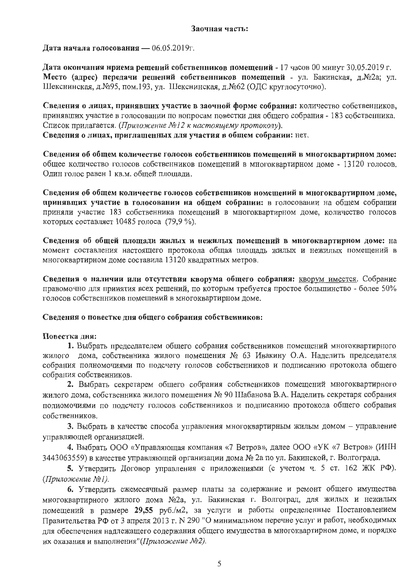#### Заочная часть:

Дата начала голосования - 06.05.2019г.

Дата окончания нриема решений собственников помещений - 17 часов 00 минут 30.05.2019 г. Место (адрес) передачи решений собственников помещений - ул. Бакинская, д.№2а; ул. Шекснинская, д. №95, пом. 193, ул. Шекснинская, д. №62 (ОДС круглосуточно).

Сведения о лицах, принявших участие в заочной форме собрания: количество собственников, принявших участие в голосовании по вопросам повестки дня общего собрания - 183 собственника. Список прилагается. (Приложение №12 к настоящему протоколу). Сведения о лицах, приглашенных для участия в общем собрании: нет.

Сведения об общем количестве голосов собственников помещений в многоквартирном доме: общее количество голосов собственников помещений в многоквартирном доме - 13120 голосов. Один голос равен 1 кв.м. общей площади.

Сведения об общем количестве голосов собственников номещений в многоквартирном доме, принявших участие в голосовании на общем собрании: в голосовании на общем собрании приняли участие 183 собственника помещений в многоквартирном доме, количество голосов которых составляет 10485 голоса (79,9 %).

Сведения об общей площади жилых и нежилых помещений в многоквартирном доме: на момент составления настоящего протокола общая площадь жилых и нежилых помещений в многоквартирном доме составила 13120 квадратных метров.

Сведения о наличии или отсутствия кворума общего собрания: кворум имеется. Собрание правомочно для принятия всех решений, по которым требуется простое большинство - более 50% голосов собственников помещений в многоквартирном доме.

## Сведения о повестке дня общего собрания собственников:

# Повестка дня:

1. Выбрать председателем общего собрания собственников помещений многоквартирного жилого дома, собственника жилого помещения № 63 Ивакину О.А. Наделить председателя собрания полномочиями по подсчету голосов собственников и подписанию протокола общего собрания собственников.

2. Выбрать секретарем общего собрания собственников помещений многоквартирного жилого дома, собственника жилого помещения № 90 Шабанова В.А. Наделить секретаря собрания полномочиями по подсчету голосов собственников и подписанию протокола общего собрания собственников.

3. Выбрать в качестве способа управления многоквартирным жилым домом - управление управляющей организацией.

4. Выбрать ООО «Управляющая компания «7 Ветров», далее ООО «УК «7 Ветров» (ИНН 3443063559) в качестве управляющей организации дома № 2а по ул. Бакинской, г. Волгограда.

5. Утвердить Договор управления с приложениями (с учетом ч. 5 ст. 162 ЖК РФ). (Приложение №1).

6. Утвердить ежемесячный размер платы за содержание и ремонт общего имущества многоквартирного жилого дома №2а, ул. Бакинская г. Волгоград, для жилых и нежилых помещений в размере 29,55 руб./м2, за услуги и работы определенные Постановлением Правительства РФ от 3 апреля 2013 г. № 290 "О минимальном перечне услуг и работ, необходимых для обеспечения надлежащего содержания общего имущества в многоквартирном доме, и порядке их оказания и выполнения"(Приложение №2).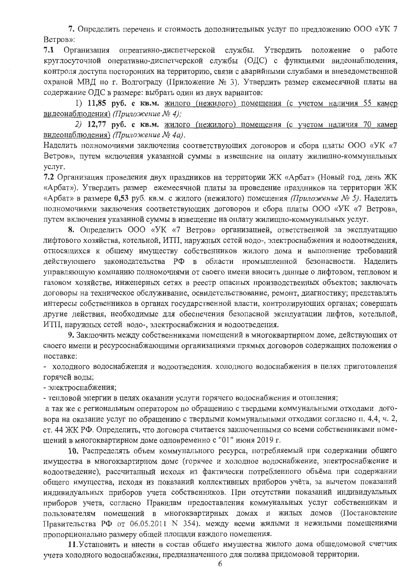7. Определить перечень и стоимость дополнительных услуг по предложению ООО «УК 7 Ветров»:

 $7.1$ Организация опреативно-диспетчерской службы. Утвердить положение о работе круглосуточной оперативно-диспетчерской службы (ОДС) с функциями видеонаблюдения, контроля доступа посторонних на территорию, связи с аварийными службами и вневедомственной охраной МВД по г. Волгограду (Приложение № 3). Утвердить размер ежемесячной платы на содержание ОДС в размере: выбрать один из двух вариантов:

1) 11,85 руб. с кв.м. жилого (нежилого) помещения (с учетом наличия 55 камер видеонаблюдения) (Приложение № 4);

2) 12,77 руб. с кв.м. жилого (нежилого) помещения (с учетом наличия 70 камер видеонаблюдения) (Приложение № 4а).

Наделить полномочиями заключения соответствующих договоров и сбора платы ООО «УК «7 Ветров», путем включения указанной суммы в извещение на оплату жилищно-коммунальных услуг.

7.2 Организация проведения двух праздников на территории ЖК «Арбат» (Новый год, день ЖК «Арбат»). Утвердить размер ежемесячной платы за проведение праздников на территории ЖК «Арбат» в размере 0,53 руб. кв.м. с жилого (нежилого) помещения (Приложение № 5). Наделить полномочиями заключения соответствующих договоров и сбора платы ООО «УК «7 Ветров», путем включения указанной суммы в извещение на оплату жилищно-коммунальных услуг.

8. Определить ООО «УК «7 Ветров» организацией, ответственной за эксплуатацию лифтового хозяйства, котельной, ИТП, наружных сетей водо-, электроснабжения и водоотведения, относящихся к общему имуществу собственников жилого дома и выполнение требований действующего законодательства РФ в области промышленной безопасности. Наделить управляющую компанию полномочиями от своего имени вносить данные о лифтовом, тепловом и газовом хозяйстве, инженерных сетях в реестр опасных производственных объектов; заключать договоры на техническое обслуживание, освидетельствование, ремонт, диагностику; представлять интересы собственников в органах государственной власти, контролирующих органах; совершать другие действия, необходимые для обеспечения безопасной эксплуатации лифтов, котельной, ИТП, наружных сетей водо-, электроснабжения и водоотведения.

9. Заключить между собственниками помещений в многоквартирном доме, действующих от своего имени и ресурсоснабжающими организациями прямых договоров содержащих положения о поставке:

- холодного водоснабжения и водоотведения. холодного водоснабжения в целях приготовления горячей воды;

- электроснабжения;

- тепловой энергии в целях оказании услуги горячего водоснабжения и отопления;

а так же с региональным оператором по обращению с твердыми коммунальными отходами договора на оказание услуг по обращению с твердыми коммунальными отходами согласно п. 4.4, ч. 2, ст. 44 ЖК РФ. Определить, что договора считается заключенными со всеми собственниками помещений в многоквартирном доме одновременно с "01" июня 2019 г.

10. Распределять объем коммунального ресурса, потребляемый при содержании общего имущества в многоквартирном доме (горячее и холодное водоснабжение, электроснабжение и водоотведение), рассчитанный исходя из фактически потребленного объёма при содержании общего имущества, исходя из показаний коллективных приборов учёта, за вычетом показаний индивидуальных приборов учета собственников. При отсутствии показаний индивидуальных приборов учета, согласно Правилам предоставления коммунальных услуг собственникам и пользователям помещений в многоквартирных домах и жилых домов (Постановление Правительства РФ от 06.05.2011 N 354), между всеми жилыми и нежильми помещениями пропорционально размеру общей площади каждого помещения.

11. Установить и внести в состав общего имущества жилого дома общедомовой счетчик учета холодного водоснабжения, предназначенного для полива придомовой территории.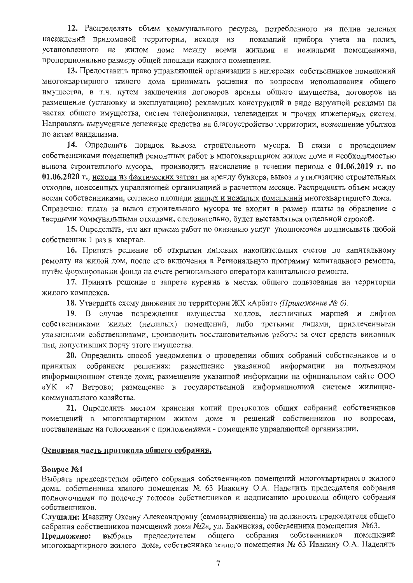12. Распределять объем коммунального ресурса, потребленного на полив зеленых насаждений придомовой территории, исходя из показаний прибора учета на полив, установленного на жилом доме между всеми жилыми и нежилыми помешениями. пропорционально размеру общей площади каждого помещения.

13. Предоставить право управляющей организации в интересах собственников помещений многоквартирного жилого дома принимать решения по вопросам использования общего имущества, в т.ч. путем заключения договоров аренды общего имущества, договоров на размещение (установку и эксплуатацию) рекламных конструкций в виде наружной рекламы на частях общего имущества, систем телефонизации, телевидения и прочих инженерных систем. Направлять вырученные денежные средства на благоустройство территории, возмешение убытков по актам вандализма.

14. Определить порядок вывоза строительного мусора. В связи с проведением собственниками помещений ремонтных работ в многоквартирном жилом доме и необходимостью вывоза строительного мусора, производить начисление в течении периода с 01.06.2019 г. по 01.06.2020 г., исходя из фактических затрат на аренду бункера, вывоз и утилизацию строительных отходов, понесенных управляющей организацией в расчетном месяце. Распределять объем между всеми собственниками, согласно площади жилых и нежилых помещений многоквартирного дома. Справочно: плата за вывоз строительного мусора не входит в размер платы за обращение с твердыми коммунальными отходами, следовательно, будет выставляться отдельной строкой.

15. Определить, что акт приема работ по оказанию услуг уполномочен подписывать любой собственник 1 раз в квартал.

16. Принять решение об открытии лицевых накопительных счетов по капитальному ремонту на жилой дом, после его включения в Региональную программу капитального ремонта, путём формировании фонда на счете регионального оператора капитального ремонта.

17. Принять решение о запрете курения в местах общего пользования на территории жилого комплекса.

18. Утвердить схему движения по территории ЖК «Арбат» (Приложение № 6).

19. В случае повреждения имущества холлов, лестничных маршей и лифтов собственниками жилых (нежилых) помещений, либо третьими лицами, привлеченными указанными собственниками, производить восстановительные работы за счет средств виновных лиц. допустивших порчу этого имущества.

20. Определить способ уведомления о проведении общих собраний собственников и о принятых собранием решениях: размещение указанной информации на подъездном информационном стенде дома; размещение указанной информации на официальном сайте ООО «УК «7 Ветров»; размещение в государственной информационной системе жилищнокоммунального хозяйства.

21. Определить местом хранения копий протоколов общих собраний собственников помещений в многоквартирном жилом доме и решений собственников по вопросам, поставленным на голосовании с приложениями - помещение управляющей организации.

## Основная часть протокола общего собрания.

#### **Вопрос №1**

Выбрать председателем общего собрания собственников помещений многоквартирного жилого дома, собственника жилого помещения № 63 Ивакину О.А. Наделить председателя собрания полномочиями по подсчету голосов собственников и подписанию протокола общего собрания собственников.

Слушали: Ивакину Оксану Александровну (самовыдвиженца) на должность председателя общего собрания собственников помещений дома №2а, ул. Бакинская, собственника помещения №63.

общего собрания собственников помещений Предложено: выбрать председателем многоквартирного жилого дома, собственника жилого помещения № 63 Ивакину О.А. Наделить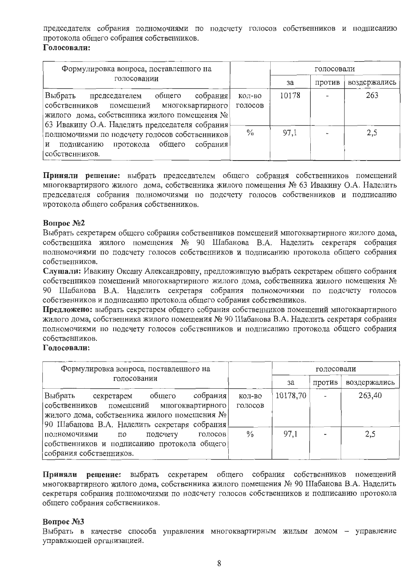председателя собрания полномочиями по подсчету голосов собственников и подписанию протокола общего собрания собственников.

## Голосовали:

| Формулировка вопроса, поставленного на                                                                                                                                                 |                   |       | голосовали |              |
|----------------------------------------------------------------------------------------------------------------------------------------------------------------------------------------|-------------------|-------|------------|--------------|
| голосовании                                                                                                                                                                            |                   | за    | против     | воздержались |
| собрания<br>Выбрать председателем общего<br>собственников помещений многоквартирного<br>жилого дома, собственника жилого помещения №<br>63 Ивакину О.А. Наделить председателя собрания | КОЛ-ВО<br>голосов | 10178 |            | 263          |
| полномочиями по подсчету голосов собственников  <br>протокола общего<br>собрания!<br>подписанию<br>и<br>собственников.                                                                 | $\frac{0}{10}$    | 97,1  |            | 2,5          |

Приняли решение: выбрать председателем общего собрания собственников помещений многоквартирного жилого дома, собственника жилого помещения № 63 Ивакину О.А. Наделить председателя собрания полномочиями по подсчету голосов собственников и подписанию протокола общего собрания собственников.

# **Вопрос №2**

Выбрать секретарем общего собрания собственников помещений многоквартирного жилого дома, собственника жилого помещения № 90 Шабанова В.А. Наделить секретаря собрания полномочиями по подсчету голосов собственников и подписанию протокола общего собрания собственников.

Слушали: Ивакину Оксану Александровну, предложившую выбрать секретарем общего собрания собственников помещений многоквартирного жилого дома, собственника жилого помещения № 90 Шабанова В.А. Наделить секретаря собрания полномочиями по подсчету голосов собственников и подписанию протокола общего собрания собственников.

Предложено: выбрать секретарем общего собрания собственников помещений многоквартирного жилого дома, собственника жилого помещения № 90 Шабанова В.А. Наделить секретаря собрания полномочиями по подсчету голосов собственников и подписанию протокола общего собрания собственников.

# Голосовали:

| Формулировка вопроса, поставленного на                                                                                                                                                  |                   |          | голосовали |              |  |
|-----------------------------------------------------------------------------------------------------------------------------------------------------------------------------------------|-------------------|----------|------------|--------------|--|
| голосовании                                                                                                                                                                             |                   | за       | против     | воздержались |  |
| собрания<br>Выбрать<br>общего<br>секретарем<br>собственников помещений многоквартирного<br>жилого дома, собственника жилого помещения №<br>90 Шабанова В.А. Наделить секретаря собрания | кол-во<br>голосов | 10178,70 |            | 263,40       |  |
| голосов<br>подсчету<br>полномочиями<br>по<br>собственников и подписанию протокола общего<br>собрания собственников.                                                                     | $\%$              | 97.1     |            | 2,5          |  |

Приняли решение: выбрать секретарем общего собрания собственников помещений многоквартирного жилого дома, собственника жилого помещения № 90 Шабанова В.А. Наделить секретаря собрания полномочиями по подсчету голосов собственников и подписанию протокола общего собрания собственников.

# Вопрос №3

Выбрать в качестве способа управления многоквартирным жилым домом - управление управляющей организацией.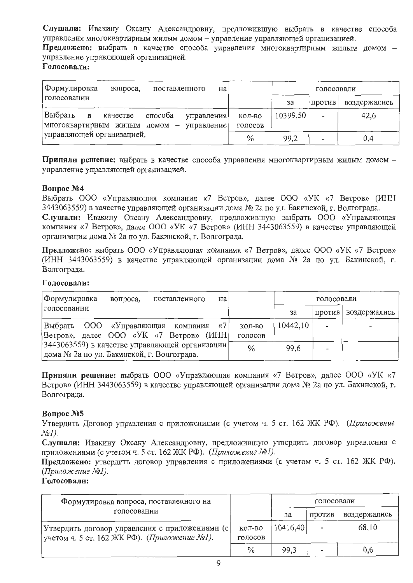Слушали: Ивакину Оксану Александровну, предложившую выбрать в качестве способа управления многоквартирным жилым домом - управление управляющей организацией. Предложено: выбрать в качестве способа управления многоквартирным жилым домом управление управляющей организацией. Голосовали:

| Формулировка<br>вопроса,<br>поставленного<br>на                                                |                   | голосовали |        |              |
|------------------------------------------------------------------------------------------------|-------------------|------------|--------|--------------|
| голосовании                                                                                    |                   | за         | против | воздержались |
| Выбрать<br>способа<br>качестве<br>управления<br>B<br> многоквартирным жилым домом — управление | КОЛ-ВО<br>ГОЛОСОВ | 10399.50   |        | 42,6         |
| управляющей организацией.                                                                      | $\frac{0}{0}$     | 99,2       | $\sim$ | 0,4          |

Приняли решение: выбрать в качестве способа управления многоквартирным жилым домом управление управляющей организацией.

## **Вопрос №4**

Выбрать ООО «Управляющая компания «7 Ветров», далее ООО «УК «7 Ветров» (ИНН 3443063559) в качестве управляющей организации дома № 2а по ул. Бакинской, г. Волгограда.

Слушали: Ивакину Оксану Александровну, предложившую выбрать ООО «Управляющая компания «7 Ветров», далее ООО «УК «7 Ветров» (ИНН 3443063559) в качестве управляющей организации дома № 2а по ул. Бакинской, г. Волгограда.

Предложено: выбрать ООО «Управляющая компания «7 Ветров», далее ООО «УК «7 Ветров» (ИНН 3443063559) в качестве управляющей организации дома № 2а по ул. Бакинской, г. Волгограда.

## Голосовали:

| Формулировка<br>поставленного<br>Ha<br>вопроса.                                                |         |          | голосовали |              |
|------------------------------------------------------------------------------------------------|---------|----------|------------|--------------|
| голосовании                                                                                    |         | за       | против     | воздержались |
| Выбрать ООО «Управляющая компания «7                                                           | КОЛ-ВО  | 10442,10 |            |              |
| Ветров», далее ООО «УК «7 Ветров» (ИНН)                                                        | голосов |          |            |              |
| 3443063559) в качестве управляющей организации [<br>дома № 2а по ул. Бакинской, г. Волгограда. | $\%$    | 99.6     |            |              |

Приняли решение: выбрать ООО «Управляющая компания «7 Ветров», далее ООО «УК «7 Ветров» (ИНН 3443063559) в качестве управляющей организации дома № 2а по ул. Бакинской, г. Волгограда.

## **Вопрос №5**

Утвердить Договор управления с приложениями (с учетом ч. 5 ст. 162 ЖК РФ). (Приложение  $N\!\!\varrho I$ ).

Слушали: Ивакину Оксану Александровну, предложившую утвердить договор управления с приложениями (с учетом ч. 5 ст. 162 ЖК РФ). (Приложение №1).

Предложено: утвердить договор управления с приложениями (с учетом ч. 5 ст. 162 ЖК РФ). (Приложение №1).

| Формулировка вопроса, поставленного на          |         |          | голосовали |              |
|-------------------------------------------------|---------|----------|------------|--------------|
| голосовании                                     |         | 3a       | ПРОТИВ     | воздержались |
| Утвердить договор управления с приложениями (с) | КОЛ-ВО  | 10416,40 |            | 68,10        |
| учетом ч. 5 ст. 162 ЖК РФ). (Приложение №1).    | голосов |          |            |              |
|                                                 | $\%$    | 99,3     |            | 0,6          |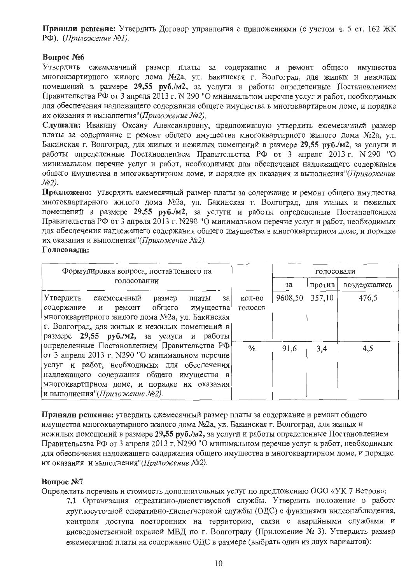Приняли решение: Утвердить Договор управления с приложениями (с учетом ч. 5 ст. 162 ЖК РФ). (Приложение №1).

# **Вопрос №6**

Утвердить ежемесячный размер платы за содержание и ремонт общего имущества многоквартирного жилого дома №2а, ул. Бакинская г. Волгоград, для жилых и нежилых помещений в размере 29,55 руб./м2, за услуги и работы определенные Постановлением Правительства РФ от 3 апреля 2013 г. N 290 "О минимальном перечне услуг и работ, необходимых для обеспечения надлежащего содержания общего имущества в многоквартирном доме, и порядке их оказания и выполнения"(Приложение №2).

Слушали: Ивакину Оксану Александровну, предложившую утвердить ежемесячный размер платы за содержание и ремонт общего имущества многоквартирного жилого дома №2а, ул. Бакинская г. Волгоград, для жилых и нежилых помещений в размере 29,55 руб./м2, за услуги и работы определенные Постановлением Правительства РФ от 3 апреля 2013 г. N 290 "О минимальном перечне услуг и работ, необходимых для обеспечения надлежащего содержания общего имущества в многоквартирном доме, и порядке их оказания и выполнения"(Приложение  $N<sub>2</sub>$ ).

Предложено: утвердить ежемесячный размер платы за содержание и ремонт общего имущества многоквартирного жилого дома №2а, ул. Бакинская г. Волгоград, для жилых и нежилых помещений в размере 29,55 руб./м2, за услуги и работы определенные Постановлением Правительства РФ от 3 апреля 2013 г. N290 "О минимальном перечне услуг и работ, необходимых для обеспечения надлежащего содержания общего имущества в многоквартирном доме, и порядке их оказания и выполнения"(Приложение №2).

#### Голосовали:

| Формулировка вопроса, поставленного на                                                                                                                                                                                                                                               |                   |         | голосовали |              |
|--------------------------------------------------------------------------------------------------------------------------------------------------------------------------------------------------------------------------------------------------------------------------------------|-------------------|---------|------------|--------------|
| голосовании                                                                                                                                                                                                                                                                          |                   | за      | против     | воздержались |
| Утвердить<br>ежемесячный<br>размер<br>- 3a<br>платы<br>содержание и ремонт общего имущества<br>многоквартирного жилого дома №2а, ул. Бакинская<br>г. Волгоград, для жилых и нежилых помещений в<br>размере 29,55 руб./м2, за услуги и работы                                         | кол-во<br>голосов | 9608,50 | 357,10     | 476,5        |
| определенные Постановлением Правительства РФ<br>от 3 апреля 2013 г. N290 "О минимальном перечне<br>услуг и работ, необходимых для обеспечения<br>надлежащего содержания общего имущества в<br>многоквартирном доме, и порядке их оказания<br> и выполнения"( <i>Приложение №2)</i> . | $\frac{0}{0}$     | 91,6    | 3,4        | 4,5          |

Приняли решение: утвердить ежемесячный размер платы за содержание и ремонт общего имущества многоквартирного жилого дома №2а, ул. Бакинская г. Волгоград, для жилых и нежилых помещений в размере 29,55 руб./м2, за услуги и работы определенные Постановлением Правительства РФ от 3 апреля 2013 г. N290 "О минимальном перечне услуг и работ, необходимых для обеспечения надлежащего содержания общего имущества в многоквартирном доме, и порядке их оказания и выполнения" (Приложение №2).

## Вопрос №7

Определить перечень и стоимость дополнительных услуг по предложению ООО «УК 7 Ветров»:

7.1 Организация опреативно-диспетчерской службы. Утвердить положение о работе круглосуточной оперативно-диспетчерской службы (ОДС) с функциями видеонаблюдения, контроля доступа посторонних на территорию, связи с аварийными службами и вневедомственной охраной МВД по г. Волгограду (Приложение № 3). Утвердить размер ежемесячной платы на содержание ОДС в размере (выбрать один из двух вариантов):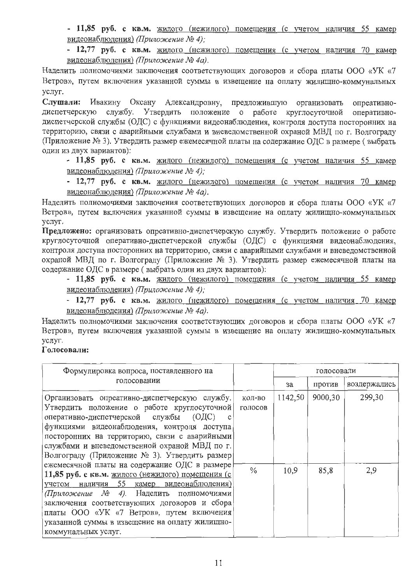- 11,85 руб. с кв.м. жилого (нежилого) помещения (с учетом наличия 55 камер видеонаблюдения) (Приложение № 4);

- 12,77 руб. с кв.м. жилого (нежилого) помещения (с учетом наличия 70 камер видеонаблюдения) (Приложение № 4а).

Наделить полномочиями заключения соответствующих договоров и сбора платы ООО «УК «7 Ветров», путем включения указанной суммы в извещение на оплату жилищно-коммунальных услуг.

Слушали: Ивакину Оксану Александровну, предложившую организовать опреативнодиспетчерскую службу. Утвердить положение о работе круглосуточной оперативнодиспетчерской службы (ОДС) с функциями видеонаблюдения, контроля доступа посторонних на территорию, связи с аварийными службами и вневеломственной охраной МВЛ по г. Волгогралу (Приложение № 3). Утвердить размер ежемесячной платы на содержание ОДС в размере (выбрать один из двух вариантов):

- 11,85 руб. с кв.м. жилого (нежилого) помещения (с учетом наличия 55 камер видеонаблюдения) (Приложение № 4):

- 12,77 руб. с кв.м. жилого (нежилого) помещения (с учетом наличия 70 камер видеонаблюдения) (Приложение № 4а).

Наделить полномочиями заключения соответствующих договоров и сбора платы ООО «УК «7 Ветров», путем включения указанной суммы в извещение на оплату жилищно-коммунальных  $VCMV<sub>l</sub>$ .

Предложено: организовать опреативно-диспетчерскую службу. Утвердить положение о работе круглосуточной оперативно-диспетчерской службы (ОДС) с функциями видеонаблюдения, контроля доступа посторонних на территорию, связи с аварийными службами и вневедомственной охраной МВД по г. Волгограду (Приложение № 3). Утвердить размер ежемесячной платы на содержание ОДС в размере (выбрать один из двух вариантов):

- 11,85 руб. с кв.м. жилого (нежилого) помещения (с учетом наличия 55 камер видеонаблюдения) (Приложение № 4);

- 12,77 руб. с кв.м. жилого (нежилого) помещения (с учетом наличия 70 камер видеонаблюдения) (Приложение № 4а).

Наделить полномочиями заключения соответствующих договоров и сбора платы ООО «УК «7 Ветров», путем включения указанной суммы в извещение на оплату жилищно-коммунальных услуг.

| Формулировка вопроса, поставленного на                                                                                                                                                                                                                                                                                                                                                                                                                                                                                                                                                                                            |                                    |                 | голосовали      |               |
|-----------------------------------------------------------------------------------------------------------------------------------------------------------------------------------------------------------------------------------------------------------------------------------------------------------------------------------------------------------------------------------------------------------------------------------------------------------------------------------------------------------------------------------------------------------------------------------------------------------------------------------|------------------------------------|-----------------|-----------------|---------------|
| голосовании                                                                                                                                                                                                                                                                                                                                                                                                                                                                                                                                                                                                                       |                                    | за              | против          | воздержались  |
| Организовать опреативно-диспетчерскую службу.<br>Утвердить положение о работе круглосуточной<br>оперативно-диспетчерской службы (ОДС)<br>функциями видеонаблюдения, контроля доступа<br>посторонних на территорию, связи с аварийными<br>службами и вневедомственной охраной МВД по г.<br>Волгограду (Приложение № 3). Утвердить размер<br>ежемесячной платы на содержание ОДС в размере<br>11,85 руб. с кв.м. жилого (нежилого) помещения (с<br>учетом наличия 55 камер видеонаблюдения)<br>(Приложение № 4). Наделить полномочиями<br>заключения соответствующих договоров и сбора<br>платы ООО «УК «7 Ветров», путем включения | КОЛ-ВО<br>голосов<br>$\frac{0}{0}$ | 1142,50<br>10,9 | 9000,30<br>85,8 | 299,30<br>2,9 |
| указанной суммы в извещение на оплату жилищно-<br>коммунальных услуг.                                                                                                                                                                                                                                                                                                                                                                                                                                                                                                                                                             |                                    |                 |                 |               |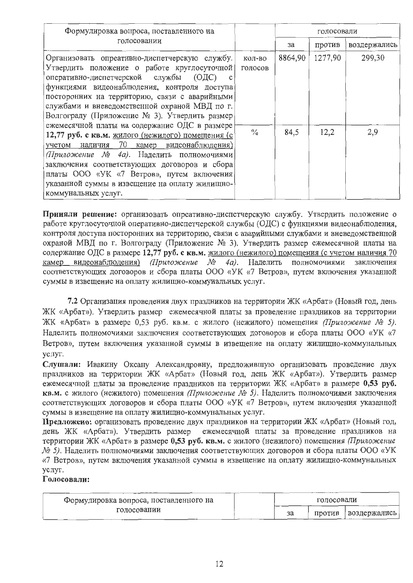| Формулировка вопроса, поставленного на                                                                                                                                                                                                                                                                                                                                                                   |                   |         | голосовали |              |
|----------------------------------------------------------------------------------------------------------------------------------------------------------------------------------------------------------------------------------------------------------------------------------------------------------------------------------------------------------------------------------------------------------|-------------------|---------|------------|--------------|
| голосовании                                                                                                                                                                                                                                                                                                                                                                                              |                   | за      | против     | воздержались |
| Организовать опреативно-диспетчерскую службу.<br>Утвердить положение о работе круглосуточной<br>оперативно-диспетчерской службы (ОДС)<br>$\mathbf{C}$<br>функциями видеонаблюдения, контроля доступа<br>посторонних на территорию, связи с аварийными<br>службами и вневедомственной охраной МВД по г.<br>Волгограду (Приложение № 3). Утвердить размер<br>ежемесячной платы на содержание ОДС в размере | КОЛ-ВО<br>голосов | 8864,90 | 1277,90    | 299,30       |
| 12,77 руб. с кв.м. жилого (нежилого) помещения (с<br>- 70<br>камер видеонаблюдения)<br>учетом<br>наличия<br>(Приложение № 4а). Наделить полномочиями<br>заключения соответствующих договоров и сбора<br>платы ООО «УК «7 Ветров», путем включения<br>указанной суммы в извещение на оплату жилищно-<br>коммунальных услуг.                                                                               | $\frac{0}{10}$    | 84,5    | 12,2       | 2,9          |

Приняли решение: организовать опреативно-диспетчерскую службу. Утвердить положение о работе круглосуточной оперативно-диспетчерской службы (ОДС) с функциями видеонаблюдения, контроля доступа посторонних на территорию, связи с аварийными службами и вневедомственной охраной МВД по г. Волгограду (Приложение № 3). Утвердить размер ежемесячной платы на содержание ОДС в размере 12,77 руб. с кв.м. жилого (нежилого) помещения (с учетом наличия 70 камер видеонаблюдения) (Приложение  $M_2$ 4а). Наделить полномочиями заключения соответствующих договоров и сбора платы ООО «УК «7 Ветров», путем включения указанной суммы в извещение на оплату жилищно-коммунальных услуг.

7.2 Организация проведения двух праздников на территории ЖК «Арбат» (Новый год, день ЖК «Арбат»). Утвердить размер ежемесячной платы за проведение праздников на территории ЖК «Арбат» в размере 0,53 руб. кв.м. с жилого (нежилого) помещения (Приложение № 5). Наделить полномочиями заключения соответствующих договоров и сбора платы ООО «УК «7 Ветров», путем включения указанной суммы в извешение на оплату жилишно-коммунальных услуг.

Слушали: Ивакину Оксану Александровну, предложившую организовать проведение двух праздников на территории ЖК «Арбат» (Новый год, день ЖК «Арбат»). Утвердить размер ежемесячной платы за проведение праздников на территории ЖК «Арбат» в размере 0,53 руб. кв.м. с жилого (нежилого) помещения (Приложение № 5). Наделить полномочиями заключения соответствующих договоров и сбора платы ООО «УК «7 Ветров», путем включения указанной суммы в извещение на оплату жилищно-коммунальных услуг.

Предложено: организовать проведение двух праздников на территории ЖК «Арбат» (Новый год, день ЖК «Арбат»). Утвердить размер ежемесячной платы за проведение праздников на территории ЖК «Арбат» в размере 0.53 руб. кв.м. с жилого (нежилого) помещения *Приложение* № 5). Наделить полномочиями заключения соответствующих договоров и сбора платы ООО «УК «7 Ветров», путем включения указанной суммы в извещение на оплату жилищно-коммунальных vслvг.

| Формулировка вопроса, поставленного на |  |  | голосовали |              |
|----------------------------------------|--|--|------------|--------------|
| голосовании                            |  |  | Против     | воздержались |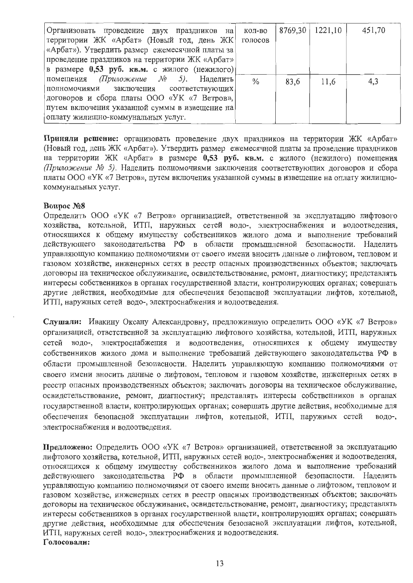| Организовать проведение двух праздников на      | кол-во        | 8769,30 | 1221,10 | 451,70 |
|-------------------------------------------------|---------------|---------|---------|--------|
| территории ЖК «Арбат» (Новый год, день ЖК)      | голосов       |         |         |        |
| «Арбат»). Утвердить размер ежемесячной платы за |               |         |         |        |
| проведение праздников на территории ЖК «Арбат»  |               |         |         |        |
| в размере 0,53 руб. кв.м. с жилого (нежилого)   |               |         |         |        |
| помещения (Приложение $N_2$ 5). Наделить        | $\frac{0}{0}$ | 83,6    | 11,6    | 4,3    |
| полномочиями заключения соответствующих         |               |         |         |        |
| договоров и сбора платы ООО «УК «7 Ветров»,     |               |         |         |        |
| путем включения указанной суммы в извещение на  |               |         |         |        |
| оплату жилищно-коммунальных услуг.              |               |         |         |        |

Приняли решение: организовать проведение двух праздников на территории ЖК «Арбат» (Новый год, день ЖК «Арбат»). Утвердить размер ежемесячной платы за проведение праздников на территории ЖК «Арбат» в размере 0,53 руб. кв.м. с жилого (нежилого) помещения (Приложение № 5). Наделить полномочиями заключения соответствующих договоров и сбора платы ООО «УК «7 Ветров», путем включения указанной суммы в извещение на оплату жилищнокоммунальных услуг.

#### **Вопрос №8**

Определить ООО «УК «7 Ветров» организацией, ответственной за эксплуатацию лифтового хозяйства, котельной, ИТП, наружных сетей водо-, электроснабжения и водоотведения, относящихся к общему имуществу собственников жилого дома и выполнение требований действующего законодательства РФ в области промышленной безопасности. Наделить управляющую компанию полномочиями от своего имени вносить данные о лифтовом, тепловом и газовом хозяйстве, инженерных сетях в реестр опасных производственных объектов; заключать договоры на техническое обслуживание, освидетельствование, ремонт, диагностику; представлять интересы собственников в органах государственной власти, контролирующих органах; совершать другие действия, необходимые для обеспечения безопасной эксплуатации лифтов, котельной, ИТП, наружных сетей водо-, электроснабжения и водоотведения.

Слушали: Ивакину Оксану Александровну, предложившую определить ООО «УК «7 Ветров» организацией, ответственной за эксплуатацию лифтового хозяйства, котельной, ИТП, наружных сетей водо-, электроснабжения и водоотведения, относящихся к общему имуществу собственников жилого дома и выполнение требований действующего законодательства РФ в области промышленной безопасности. Наделить управляющую компанию полномочиями от своего имени вносить данные о лифтовом, тепловом и газовом хозяйстве, инженерных сетях в реестр опасных производственных объектов; заключать договоры на техническое обслуживание, освидетельствование, ремонт, диагностику; представлять интересы собственников в органах государственной власти, контролирующих органах; совершать другие действия, необходимые для обеспечения безопасной эксплуатации лифтов, котельной, ИТП, наружных сетей водо-. электроснабжения и водоотведения.

Предложено: Определить ООО «УК «7 Ветров» организацией, ответственной за эксплуатацию лифтового хозяйства, котельной, ИТП, наружных сетей водо-, электроснабжения и водоотведения, относящихся к общему имуществу собственников жилого дома и выполнение требований действующего законодательства РФ в области промышленной безопасности. Наделить управляющую компанию полномочиями от своего имени вносить данные о лифтовом, тепловом и газовом хозяйстве, инженерных сетях в реестр опасных производственных объектов; заключать договоры на техническое обслуживание, освидетельствование, ремонт, диагностику; представлять интересы собственников в органах государственной власти, контролирующих органах; совершать другие действия, необходимые для обеспечения безопасной эксплуатации лифтов, котельной, ИТП, наружных сетей водо-, электроснабжения и водоотведения. Голосовали: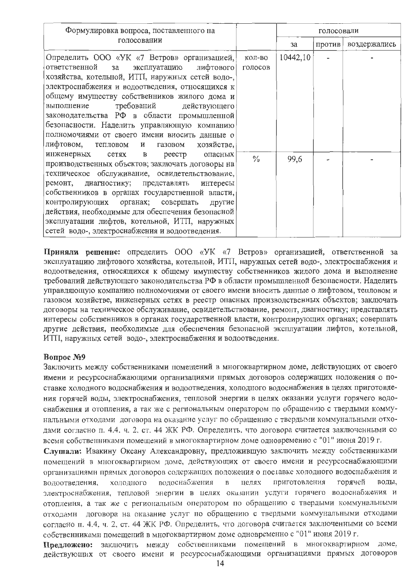| Формулировка вопроса, поставленного на                                                                                                                                                                                                                                                                                                                                                                                                                                                             |                   |          | голосовали |              |
|----------------------------------------------------------------------------------------------------------------------------------------------------------------------------------------------------------------------------------------------------------------------------------------------------------------------------------------------------------------------------------------------------------------------------------------------------------------------------------------------------|-------------------|----------|------------|--------------|
| голосовании                                                                                                                                                                                                                                                                                                                                                                                                                                                                                        |                   | за       | против     | воздержались |
| Определить ООО «УК «7 Ветров» организацией,<br>ответственной<br>лифтового <br>за<br>эксплуатацию<br>хозяйства, котельной, ИТП, наружных сетей водо-,<br>электроснабжения и водоотведения, относящихся к<br>общему имуществу собственников жилого дома и<br>требований действующего<br>выполнение<br>законодательства РФ в области промышленной<br>безопасности. Наделить управляющую компанию<br>полномочиями от своего имени вносить данные о<br>лифтовом,<br>хозяйстве,<br>тепловом и<br>газовом | кол-во<br>голосов | 10442,10 |            |              |
| инженерных<br>сетях<br>$\, {\bf B}$<br>реестр<br>опасных<br>производственных объектов; заключать договоры на<br>техническое обслуживание, освидетельствование,<br>ремонт,<br>диагностику; представлять<br>интересы<br>собственников в органах государственной власти,<br>контролирующих<br>органах; совершать<br>другие<br>действия, необходимые для обеспечения безопасной<br>эксплуатации лифтов, котельной, ИТП, наружных<br>сетей водо-, электроснабжения и водоотведения.                     | $\frac{0}{10}$    | 99,6     |            |              |

Приняли решение: определить ООО «УК «7 Ветров» организацией, ответственной за эксплуатацию лифтового хозяйства, котельной, ИТП, наружных сетей водо-, электроснабжения и водоотведения, относящихся к общему имуществу собственников жилого дома и выполнение требований действующего законодательства РФ в области промышленной безопасности. Наделить управляющую компанию полномочиями от своего имени вносить данные о лифтовом, тепловом и газовом хозяйстве, инженерных сетях в реестр опасных производственных объектов: заключать договоры на техническое обслуживание, освидетельствование, ремонт, диагностику; представлять интересы собственников в органах государственной власти, контролирующих органах; совершать другие действия, необходимые для обеспечения безопасной эксплуатации лифтов, котельной, ИТП, наружных сетей водо-, электроснабжения и водоотведения.

## **Вопрос №9**

Заключить между собственниками помещений в многоквартирном доме, действующих от своего имени и ресурсоснабжающими организациями прямых договоров содержащих положения о поставке холодного водоснабжения и водоотведения, холодного водоснабжения в целях приготовления горячей воды, электроснабжения, тепловой энергии в целях оказании услуги горячего водоснабжения и отопления, а так же с региональным оператором по обращению с твердыми коммунальными отходами договора на оказание услуг по обращению с твердыми коммунальными отходами согласно п. 4.4. ч. 2. ст. 44 ЖК РФ. Определить. что договора считается заключенными со всеми собственниками помещений в многоквартирном доме одновременно с "01" июня 2019 г.

Слушали: Ивакину Оксану Александровну, предложившую заключить между собственниками помещений в многоквартирном доме, действующих от своего имени и ресурсоснабжающими организациями прямых договоров содержащих положения о поставке холодного водоснабжения и волоснабжения целях приготовления горячей воды, водоотведения, холодного  $\overline{B}$ электроснабжения, тепловой энергии в целях оказании услуги горячего водоснабжения и отопления, а так же с региональным оператором по обращению с твердыми коммунальными отходами договора на оказание услуг по обращению с твердыми коммунальными отходами согласно п. 4.4, ч. 2, ст. 44 ЖК РФ. Определить, что договора считается заключенными со всеми собственниками помещений в многоквартирном доме одновременно с "01" июня 2019 г.

Предложено: заключить между собственниками помещений в многоквартирном доме. действующих от своего имени и ресурсоснабжающими организациями прямых договоров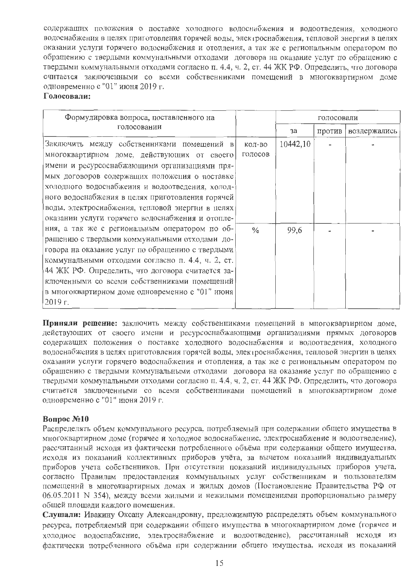содержащих положения о поставке холодного водоснабжения и водоотведения, холодного водоснабжения в целях приготовления горячей воды, электроснабжения, тепловой энергии в целях оказании услуги горячего водоснабжения и отопления, а так же с региональным оператором по обращению с твердыми коммунальными отходами договора на оказание услуг по обращению с твердыми коммунальными отходами согласно п. 4.4, ч. 2, ст. 44 ЖК РФ. Определить, что договора считается заключенными со всеми собственниками помещений в многоквартирном доме одновременно с "01" июня 2019 г.

#### Голосовали:

| Формулировка вопроса, поставленного на                                                                                                                                                                                                                                                                                                                                                                     |                   | голосовали |        |              |
|------------------------------------------------------------------------------------------------------------------------------------------------------------------------------------------------------------------------------------------------------------------------------------------------------------------------------------------------------------------------------------------------------------|-------------------|------------|--------|--------------|
| голосовании                                                                                                                                                                                                                                                                                                                                                                                                |                   | за         | против | воздержались |
| Заключить между собственниками помещений в<br>многоквартирном доме, действующих от своего<br>имени и ресурсоснабжающими организациями пря-<br>мых договоров содержащих положения о поставке<br>холодного водоснабжеиия и водоотведения, холод-<br>ного водоснабжения в целях приготовления горячей<br>воды. электроснабжения, тепловой энергии в целях<br>оказании услуги горячего водоснабжения и отопле- | кол-во<br>голосов | 10442,10   |        |              |
| ния, а так же с региональным оператором по об-<br>ращению с твердыми коммунальными отходами до-<br>говора на оказание услуг по обращению с твердыми<br>коммунальными отходами согласно п. 4.4, ч. 2, ст.<br>44 ЖК РФ. Определить, что договора считается за-<br>ключенными со всеми собственниками помещений<br>в многоквартирном доме одновременно с "01" июня<br>2019 r.                                 | $\frac{0}{0}$     | 99,6       |        |              |

Приняли решение: заключить между собственниками помещений в многоквартирном доме, действующих от своего имени и ресурсоснабжающими организациями прямых договоров содержащих положения о поставке холодного водоснабжения и водоотведения, холодного водоснабжения в целях приготовления горячей воды, электроснабжения, тепловой энергин в целях оказании услуги горячего водоснабжения и отопления, а так же с региональным оператором по обращению с твердыми коммунальными отходами договора на оказание услуг по обращению с твердыми коммунальными отходами согласно п. 4.4, ч. 2, ст. 44 ЖК РФ. Определить, что договора считается заключенными со всеми собственниками помещений в многоквартирном доме одновременно с "01" июня 2019 г.

## Вопрос №10

Распределять объем коммунального ресурса, потребляемый при содержании общего имущества в многоквартирном доме (горячее и холодное водоснабжение, электроснабжение и водоотведение), рассчитанный исходя из фактически потребленного объёма при содержании общего имущества, исходя из показаний коллективных приборов учёта, за вычетом показаний индивидуальных приборов учета собственников. При отсутствии показаний индивидуальных приборов учета, согласно Правилам предоставления коммунальных услуг собственникам и пользователям помещений в многоквартирных домах и жилых домов (Постановление Правительства РФ от 06.05.2011 N 354), между всеми жилыми и нежилыми помещениями пропорционально размеру общей площади каждого помещения.

Слушали: Ивакину Оксану Александровну, предложившую распределять объем коммунального ресурса, потребляемый при содержании общего имущества в многоквартирном доме (горячее и холодное водоснабжение, электроснабжение и водоотведение), рассчитанный исходя из фактически потребленного объёма при содержании общего имущества, исходя из показаний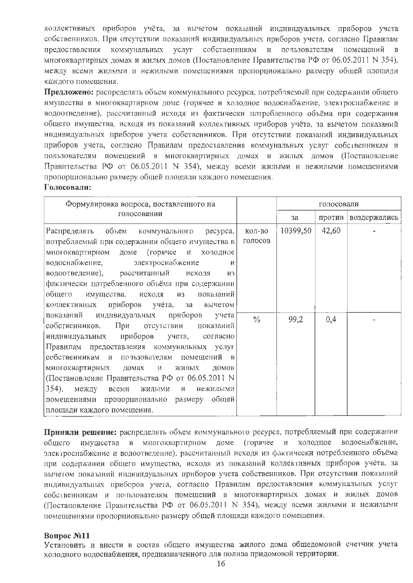коллективных приборов учёта, за вычетом показаний индивидуальных приборов учета собственников. При отсутствии показаний индивидуальных приборов учета, согласно Правилам предоставления коммунальных услуг собственникам и почьзователям помещений в многоквартирных домах и жилых домов (Постановление Правительства РФ от 06.05.2011 N 354), между всеми жилыми и нежилыми помещениями пропорционально размеру общей площади каждого помещения.

Предложено: распределять объем коммунального ресурса, потребляемый при содержании общего имущества в многоквартирном доме (горячее и холодное водоснабжение, электроснабжение и водоотведение), рассчитанный исходя из фактически потребленного объёма при содержании общего имущества, исходя из показаний коллективных приборов учёта, за вычетом показаний индивидуальных приборов учета собственников. При отсутствии показаний индивидуальных приборов учета, согласно Правилам предоставления коммунальных услуг собственникам и пользователям помещений в многоквартирных домах и жилых домов (Постановление Правительства РФ от 06.05.2011 N 354), между всеми жилыми и нежилыми помещениями пропорционально размеру общей площади каждого помещения.

## Голосовали:

| Формулировка вопроса, поставленного на                        |               |          | голосовали |                       |
|---------------------------------------------------------------|---------------|----------|------------|-----------------------|
| голосовании                                                   |               | за       |            | против   воздержались |
| Распределять<br>объем<br>коммунального ресурса,               | КОЛ-ВО        | 10399,50 | 42,60      |                       |
| потребляемый при содержании общего имущества в                | голосов       |          |            |                       |
| многоквартирном доме (горячее и холодное                      |               |          |            |                       |
| водоснабжение,<br>электроснабжение<br>И                       |               |          |            |                       |
| водоотведение), рассчитанный<br>исходя<br><b>H3</b>           |               |          |            |                       |
| фактически потребленного объёма при содержании                |               |          |            |                       |
| общего<br>имущества, исходя из<br>показаний                   |               |          |            |                       |
| коллективных приборов учёта, за вычетом                       |               |          |            |                       |
| показаний индивидуальных<br>приборов<br>учета                 | $\frac{0}{6}$ | 99,2     | 0,4        |                       |
| При отсутствии показаний<br>собственников.                    |               |          |            |                       |
| индивидуальных приборов учета, согласно                       |               |          |            |                       |
| Правилам предоставления коммунальных услуг                    |               |          |            |                       |
| себственникам и пользователям помещений в                     |               |          |            |                       |
| многоквартирных домах и<br>жилых<br>домов                     |               |          |            |                       |
| (Постановление Правительства РФ от 06.05.2011 N               |               |          |            |                       |
| $354$ ),<br>между всеми<br>жилыми<br>$\mathbf{M}$<br>нежилыми |               |          |            |                       |
| помещениями пропорционально размеру общей                     |               |          |            |                       |
| площади каждого помещения.                                    |               |          |            |                       |

Приняли решение: распределять объем коммунального ресурса, потребляемый при содержании имущества в многоквартирном доме (горячее и холодное водоснабжение, общего электроснабжение и водоотведение), рассчитанный исходя из фактически потребленного объёма при содержании общего имущества, исходя из показаний коллективных приборов учёта, за вычетом показаний индивидуальных приборов учета собственников. При отсутствии показаний индивидуальных приборов учета, согласно Правилам предоставления коммунальных услуг собственникам и пользователям помещений в многоквартирных домах и жилых домов (Постановление Правительства РФ от 06.05.2011 N 354), между всеми жилыми и нежилыми помещениями пропорционально размеру общей площади каждого помещения.

## **Вопрос №11**

Установить и внести в состав общего имущества жилого дома общедомовой счетчик учета холодного водоснабжения, предназначенного для полива придомовой территории.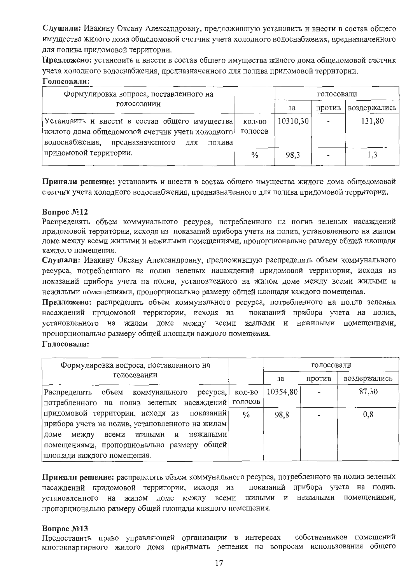Слушали: Ивакину Оксану Александровну, предложившую установить и внести в состав общего имущества жилого дома общедомовой счетчик учета холодного водоснабжения, предназначенного для полива придомовой территории.

Предложено: установить и внести в состав общего имущества жилого дома общедомовой счетчик учета холодного водоснабжения, предназначенного для полива придомовой территории.

# Голосовали:

| Формулировка вопроса, поставленного на                                                                 |                   | голосовали |        |              |
|--------------------------------------------------------------------------------------------------------|-------------------|------------|--------|--------------|
| голосовании                                                                                            |                   | за         | Против | воздержались |
| Установить и внести в состав общего имущества                                                          | кол-во<br>ГОЛОСОВ | 10310,30   |        | 131,80       |
| жилого дома общедомовой счетчик учета холодного<br>водоснабжения,<br>предназначенного<br>полива<br>ДЛЯ |                   |            |        |              |
| придомовой территории.                                                                                 | $\%$              | 98,3       |        |              |

Приняли решение: установить и внести в состав общего имущества жилого дома общедомовой счетчик учета холодного водоснабжения, предназначенного для полива придомовой территории.

## **Вопрос №12**

Распределять объем коммунального ресурса, потребленного на полив зеленых насаждений придомовой территории, исходя из показаний прибора учета на полив, установленного на жилом доме между всеми жилыми и нежилыми помещениями, пропорционально размеру общей площади каждого помещения.

Слушали: Ивакину Оксану Александровну, предложившую распределять объем коммунального ресурса, потребленного на полив зеленых насаждений придомовой территории, исходя из показаний прибора учета на полив, установленного на жилом доме между всеми жильми и нежилыми помещениями, пропорционально размеру общей площади каждого помещения.

Предложено: распределять объем коммунального ресурса, потребленного на полив зеленых насаждений придомовой территории, исходя из показаний прибора учета на полив, установленного на жилом доме между всеми жильми и нежилыми помещениями, пропорционально размеру общей площади каждого помещения.

#### Голосовали:

| Формулировка вопроса, поставленного на                                                                                                                                                                                       |                   |          | голосовали |              |  |
|------------------------------------------------------------------------------------------------------------------------------------------------------------------------------------------------------------------------------|-------------------|----------|------------|--------------|--|
| голосовании                                                                                                                                                                                                                  |                   | за       | против     | воздержались |  |
| Распределять объем коммунального ресурса,<br>потребленного на полив зеленых насаждений                                                                                                                                       | кол-во<br>голосов | 10354,80 |            | 87,30        |  |
| придомовой территории, исходя из показаний<br>прибора учета на полив, установленного на жилом<br>нежилыми<br>между<br>жильгми и<br>всеми<br>доме<br>помещениями, пропорционально размеру общей<br>площади каждого помещения. | $\frac{0}{2}$     | 98,8     |            | 0,8          |  |

Приняли решение: распределять объем коммунального ресурса, потребленного на полив зеленых показаний прибора учета на полив, насаждений придомовой территории, исходя из жилыми и нежилыми помещениями, установленного на жилом доме между всеми пропорционально размеру общей площади каждого помещения.

## **Вопрос №13**

Предоставить право управляющей организации в интересах собственников помещений многоквартирного жилого дома принимать решения по вопросам использования общего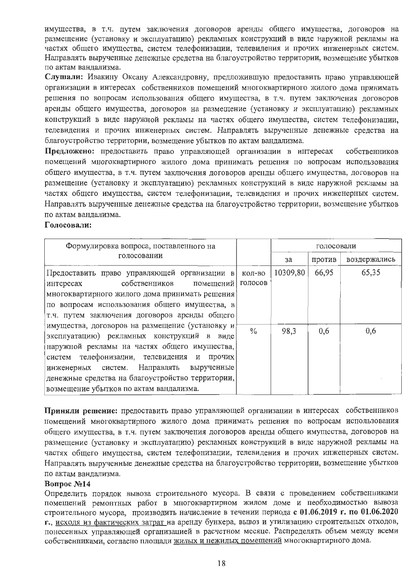имущества, в т.ч. путем заключения договоров аренды общего имущества, договоров на размещение (установку и эксплуатацию) рекламных конструкций в виде наружной рекламы на частях общего имущества, систем телефонизации, телевидения и прочих инженерных систем. Направлять вырученные денежные средства на благоустройство территории, возмещение убытков по актам вандализма.

Слушали: Ивакину Оксану Александровну, предложившую предоставить право управляющей организации в интересах собственников помещений многоквартирного жилого дома принимать решения по вопросам использования общего имущества, в т.ч. путем заключения договоров аренды общего имущества, договоров на размещение (установку и эксплуатацию) рекламных конструкций в виде наружной рекламы на частях общего имущества, систем телефонизации, телевидения и прочих инженерных систем. Направлять вырученные денежные средства на благоустройство территории, возмещение убытков по актам вандализма.

Предложено: предоставить право управляющей организации в интересах собственников помещений многоквартирного жилого дома принимать решения по вопросам использования общего имущества, в т.ч. путем заключения договоров аренды общего имущества, договоров на размещение (установку и эксплуатацию) рекламных конструкций в виде наружной рекламы на частях общего имущества, систем телефонизации, телевидения и прочих инженерных систем. Направлять вырученные денежные средства на благоустройство территории, возмещение убытков по актам ванлализма.

#### Голосовали:

| Формулировка вопроса, поставленного на<br>голосовании                                                                                                                                                                                                                                                                                  |                   |          | голосовали |              |  |
|----------------------------------------------------------------------------------------------------------------------------------------------------------------------------------------------------------------------------------------------------------------------------------------------------------------------------------------|-------------------|----------|------------|--------------|--|
|                                                                                                                                                                                                                                                                                                                                        |                   | за       | против     | воздержались |  |
| Предоставить право управляющей организации в<br>собственников<br>помещений<br>интересах                                                                                                                                                                                                                                                | КОЛ-ВО<br>ГОЛОСОВ | 10309,80 | 66,95      | 65,35        |  |
| многоквартирного жилого дома принимать решения<br>по вопросам использования общего имущества, в<br>т.ч. путем заключения договоров аренды общего                                                                                                                                                                                       |                   |          |            |              |  |
| имущества, договоров на размещение (установку и<br>эксплуатацию) рекламных конструкций в виде<br>наружной рекламы на частях общего имущества,<br>систем телефонизации, телевидения и прочих<br>инженерных систем. Направлять вырученные<br>денежные средства на благоустройство территории,<br>возмещение убытков по актам вандализма. | $\frac{0}{10}$    | 98,3     | 0,6        | 0,6          |  |

Приняли решение: предоставить право управляющей организации в интересах собственников помещений многоквартирного жилого дома принимать решения по вопросам использования общего имущества, в т.ч. путем заключения договоров аренды общего имущества, договоров на размещение (установку и эксплуатацию) рекламных конструкций в виде наружной рекламы на частях общего имущества, систем телефонизации, телевидения и прочих инженерных систем. Направлять вырученные денежные средства на благоустройство территории, возмещение убытков по актам вандализма.

## **Вопрос №14**

Определить порядок вывоза строительного мусора. В связи с проведением собственниками помещений ремонтных работ в многоквартирном жилом доме и необходимостью вывоза строительного мусора, производить начисление в течении периода с 01.06.2019 г. по 01.06.2020 г., исходя из фактических затрат на аренду бункера, вывоз и утилизацию строительных отходов, понесенных управляющей организацией в расчетном месяце. Распределять объем между всеми собственниками, согласно площади жилых и нежилых помещений многоквартирного дома.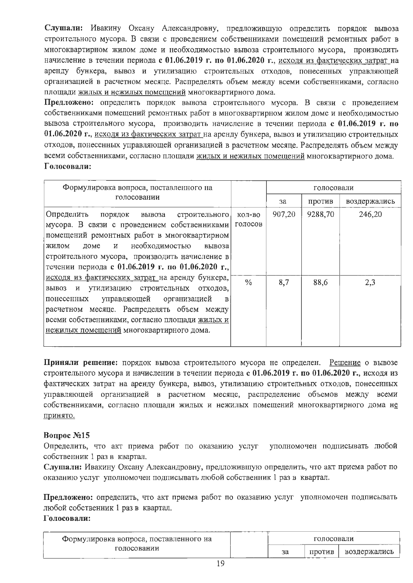Слушали: Ивакину Оксану Александровну, предложившую определить порядок вывоза строительного мусора. В связи с проведением собственниками помещений ремонтных работ в многоквартирном жилом доме и необходимостью вывоза строительного мусора, производить начисление в течении периода с 01.06.2019 г. по 01.06.2020 г., исходя из фактических затрат на аренду бункера, вывоз и утилизацию строительных отходов, понесенных управляющей организацией в расчетном месяце. Распределять объем между всеми собственниками, согласно площади жилых и нежилых помещений многоквартирного дома.

Предложено: определить порядок вывоза строительного мусора. В связи с проведением собственниками помещений ремонтных работ в многоквартирном жилом доме и необходимостью вывоза строительного мусора, производить начисление в течении периода с 01.06.2019 г. по 01.06.2020 г., исходя из фактических затрат на аренду бункера, вывоз и утилизацию строительных отходов, понесенных управляющей организацией в расчетном месяце. Распределять объем между всеми собственниками, согласно площади жилых и нежилых помещений многоквартирного дома. Голосовали:

| Формулировка вопроса, поставленного на<br>голосовании                                                                                                                                                                                                                                              |                   |        | голосовали |              |
|----------------------------------------------------------------------------------------------------------------------------------------------------------------------------------------------------------------------------------------------------------------------------------------------------|-------------------|--------|------------|--------------|
|                                                                                                                                                                                                                                                                                                    |                   | за     | против     | воздержались |
| Определить<br>порядок вывоза<br>строительного<br>мусора. В связи с проведением собственниками<br>помещений ремонтных работ в многоквартирном<br>необходимостью<br>доме и<br>жилом<br>вывоза<br>строительного мусора, производить начисление в<br>течении периода с 01.06.2019 г. по 01.06.2020 г., | кол-во<br>ГОЛОСОВ | 907,20 | 9288,70    | 246,20       |
| исходя из фактических затрат на аренду бункера,<br>вывоз и утилизацию строительных отходов,<br>управляющей организацией<br>понесенных<br>$\mathbf{B}$<br>расчетном месяце. Распределять объем между<br>всеми собственниками, согласно площади жилых и<br>нежилых помещений многоквартирного дома.  | $\frac{0}{0}$     | 8,7    | 88,6       | 2,3          |

Приняли решение: порядок вывоза строительного мусора не определен. Решение о вывозе строительного мусора и начислении в течении периода с 01.06.2019 г. по 01.06.2020 г., исходя из фактических затрат на аренду бункера, вывоз, утилизацию строительных отходов, понесенных управляющей организацией в расчетном месяце, распределение объемов между всеми собственниками, согласно площади жилых и нежилых помещений многоквартирного дома не принято.

# Bonpoc №15

Определить, что акт приема работ по оказанию услуг уполномочен подписывать любой собственник 1 раз в квартал.

Слушали: Ивакину Оксану Александровну, предложившую определить, что акт приема работ по оказанию услуг уполномочен подписывать любой собственник 1 раз в квартал.

Предложено: определить, что акт приема работ по оказанию услуг уполномочен подписывать любой собственник 1 раз в квартал.

| Формулировка вопроса, поставленного на |    | голосовали |              |  |
|----------------------------------------|----|------------|--------------|--|
| голосовании                            | за | против     | воздержались |  |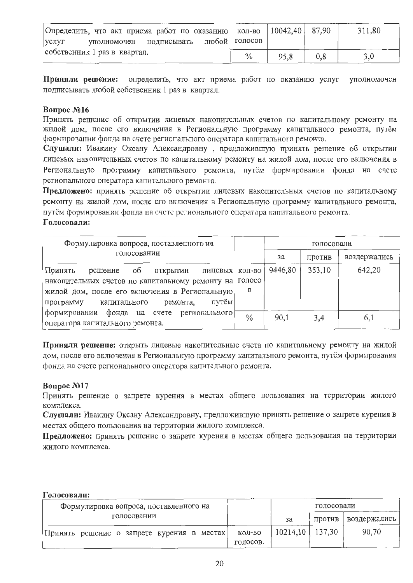| Определить, что акт приема работ по оказанию   кол-во   10042.40   87.90 |               |      |          | 311,80 |
|--------------------------------------------------------------------------|---------------|------|----------|--------|
| уполномочен подписывать любой голосов<br>  услуг                         |               |      |          |        |
| собственник 1 раз в квартал.                                             | $\frac{0}{0}$ | 95,8 | $_{0.8}$ |        |

Приняли решение: определить, что акт приема работ по оказанию услуг уполномочен подписывать любой собственник 1 раз в квартал.

#### **Вопрос №16**

Принять решение об открытии лицевых накопительных счетов по капитальному ремонту на жилой дом, после его включения в Региональную программу капитального ремонта, путём формировании фонда на счете регионального оператора капитального ремонта.

Слушали: Ивакину Оксану Александровну, предложившую принять решение об открытии лицевых накопительных счетов по капитальному ремонту на жилой дом, после его включения в Региональную программу капитального ремонта, путём формировании фонда на счете регионального оператора капитального ремонта.

Предложено: принять решение об открытии лицевых накопительных счетов по капитальному ремонту на жилой дом, после его включения в Региональную программу капитального ремонта, путём формировании фонда на счете регионального оператора капитального ремонта. Голосовали:

| Формулировка вопроса, поставленного на                                                                                                                                                                         |               |         | голосовали |              |
|----------------------------------------------------------------------------------------------------------------------------------------------------------------------------------------------------------------|---------------|---------|------------|--------------|
| голосовании                                                                                                                                                                                                    |               | за      | против     | воздержались |
| об<br>Принять<br>лицевых   кол-во<br>ОТКРЫТИИ<br>решение<br>накопительных счетов по капитальному ремонту на<br>жилой дом, после его включения в Региональную<br>путём<br>ремонта,<br>капитального<br>программу | голосо<br>B   | 9446,80 | 353,10     | 642,20       |
| формировании фонда на счете регионального<br>оператора капитального ремонта.                                                                                                                                   | $\frac{0}{0}$ | 90,1    | 3,4        | 6,1          |

Приняли решение: открыть лицевые накопительные счета по капитальному ремонту на жилой дом, после его включения в Региональную программу капитального ремонта, путём формирования фонда на счете регионального оператора капитального ремонта.

## Вопрос №17

Принять решение о запрете курения в местах общего пользования на территории жилого комплекса.

Слушали: Ивакину Оксану Александровну, предложившую принять решение о запрете курения в местах общего пользования на территории жилого комплекса.

Предложено: принять решение о запрете курения в местах общего пользования на территории жилого комплекса.

| Формулировка вопроса, поставленного на     |          |                      | голосовали |              |
|--------------------------------------------|----------|----------------------|------------|--------------|
| голосовании                                |          | за                   | против     | воздержались |
| Принять решение о запрете курения в местах | КОЛ-ВО   | $10214, 10$   137,30 |            | 90,70        |
|                                            | голосов. |                      |            |              |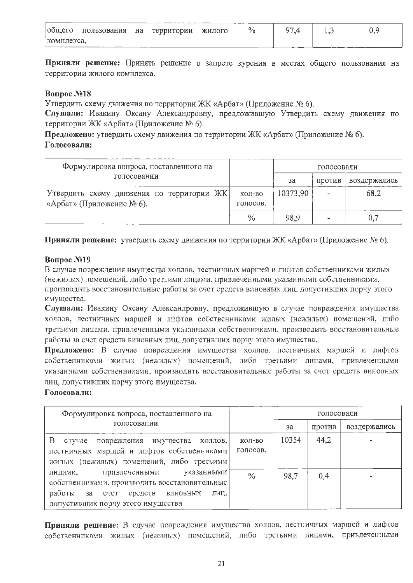| $00$ mero  | пользования | на | территории | жилого | 0 <sub>1</sub><br>70 | 07 | . |  |
|------------|-------------|----|------------|--------|----------------------|----|---|--|
| комплекса. |             |    |            |        |                      |    |   |  |

Приняли решение: Принять решение о запрете курения в местах общего пользования на территории жилого комплекса.

# **Вопрос №18**

Утвердить схему движения по территории ЖК «Арбат» (Приложение № 6).

Слушали: Ивакину Оксану Александровну, предложившую Утвердить схему движения по территории ЖК «Арбат» (Приложение № 6).

Предложено: утвердить схему движения по территории ЖК «Арбат» (Приложение № 6). Голосовали:

| Формулировка вопроса, поставленного на    |          | голосовали |                          |              |  |
|-------------------------------------------|----------|------------|--------------------------|--------------|--|
| голосовании                               |          | за         | ПРОТИВ                   | воздержались |  |
| Утвердить схему движения по территории ЖК | КОЛ-ВО   | 10373,90   |                          | 68.2         |  |
| «Арбат» (Приложение № 6).                 | голосов. |            |                          |              |  |
|                                           | $\%$     | 98.9       | $\overline{\phantom{a}}$ | 0,7          |  |

Приняли решение: утвердить схему движения по территории ЖК «Арбат» (Приложение № 6).

# **Вопрос №19**

В случае повреждения имущества холлов, лестничных маршей и лифтов собственниками жилых (нежилых) помещений. либо третьими лицами, привлеченными указанными собственниками, производить восстановительные работы за счет средств виновных лиц. допустивших порчу этого имущества.

Слушали: Ивакину Оксану Александровну, предложившую в случае повреждения имущества холлов, лестничных маршей и лифтов собственниками жилых (нежилых) помещений. либо третьими лицами. привлеченными указанными собственниками. производить восстановительные работы за счет средств виновных лиц, допустивших порчу этого имущества.

Предложено: В случае повреждения имущества холлов. лестничных маршей и лифтов собственниками жилых (нежилых) помещений, либо третьими лицами, привлеченными указанными собственниками, производить восстановительные работы за счет средств виновных лиц, допустивших порчу этого имущества.

## Голосовали:

| Формулировка вопроса, поставленного на<br>голосовании                                                                                                                           |                    |       | голосовали |              |
|---------------------------------------------------------------------------------------------------------------------------------------------------------------------------------|--------------------|-------|------------|--------------|
|                                                                                                                                                                                 |                    | за    | против     | воздержались |
| Β<br>повреждения имущества холлов,<br>случае<br>лестничных маршей и лифтов собственниками<br>жилых (нежилых) помещений, либо третьими                                           | КОЛ-ВО<br>голосов. | 10354 | 44,2       |              |
| - указанными  <br>привлеченными<br>лицами,<br>собственниками, производить восстановительные<br>работы за счет<br>средств виновных<br>лиц.<br>допустивших порчу этого имущества. | $\frac{0}{0}$      | 98,7  | 0,4        |              |

Приняли решение: В случае повреждения имущества холлов, лестничных маршей и лифтов собственниками жилых (нежилых) помещений, либо третьими лицами, привлеченными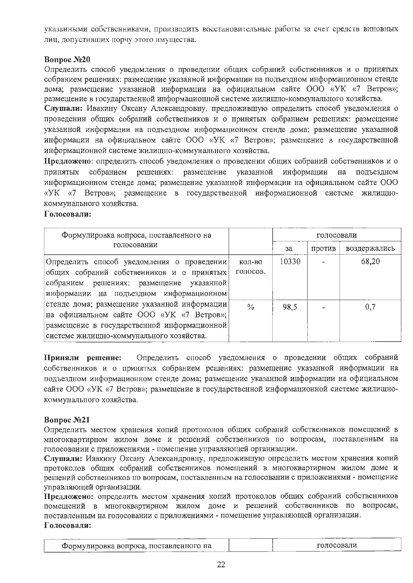указанными собственниками, производить восстановительные работы за счет средств виновных лиц, допустивших порчу этого имущества.

# Bonpoc No<sub>20</sub>

Определить способ уведомления о проведении общих собраний собственников и о принятых собранием решениях: размешение указанной информации на польездном информационном стенде дома; размещение указанной информации на официальном сайте ООО «УК «7 Ветров»; размещение в государственной информационной системе жилищно-коммунального хозяйства.

Слушали: Ивакину Оксану Александровну, предложившую определить способ уведомления о проведении общих собраний собственников и о принятых собранием решениях: размещение указанной информации на подъездном информационном стенде дома; размещение указанной информации на официальном сайте ООО «УК «7 Ветров»; размещение в государственной информационной системе жилищно-коммунального хозяйства.

Предложено: определить способ уведомления о проведении общих собраний собственников и о собранием решениях: размещение үказанной информации на подъездном Принятых информационном стенде дома; размещение указанной информации на официальном сайте ООО «УК «7 Ветров»; размещение в государственной информационной системе жилищнокоммунального хозяйства.

# Голосовали:

| Формулировка вопроса, поставленного на<br>голосовании                                                                                                                               |                    | голосовали |        |              |
|-------------------------------------------------------------------------------------------------------------------------------------------------------------------------------------|--------------------|------------|--------|--------------|
|                                                                                                                                                                                     |                    | за         | против | воздержались |
| Определить способ уведомления о проведении<br>общих собраний собственников и о принятых<br>собранием решениях: размещение указанной<br>информации на подъездном информационном      | КОЛ-ВО<br>голосов. | 10330      |        | 68,20        |
| стенде дома; размещение указанной информации<br>на официальном сайте ООО «УК «7 Ветров»;<br>размещение в государственной информационной<br>системе жилищно-коммунального хозяйства. | $^{0}/_{0}$        | 98,5       |        | 0,7          |

Определить способ уведомления о проведении общих собраний Приняли решение: собственников и о принятых собранием решениях: размещение указанной информации на подъездном информационном стенде дома; размещение указанной информации на официальном сайте ООО «УК «7 Ветров»; размещение в государственной информационной системе жилищнокоммунального хозяйства.

# Bonpoc No21

Определить местом хранения копий протоколов общих собраний собственников помещений в многоквартирном жилом доме и решений собственников по вопросам, поставленным на голосовании с приложениями - помещение управляющей организации.

Слушали: Ивакину Оксану Александровну, предложившую определить местом хранения копий протоколов общих собраний собственников помещений в многоквартирном жилом доме и решений собственников по вопросам, поставленным на голосовании с приложениями - помещение управляющей организации.

Предложено: определить местом хранения копий протоколов общих собраний собственников помещений в многоквартирном жилом доме и решений собственников по вопросам, поставленным на голосовании с приложениями - помещение управляющей организации. Голосовали:

| Формулировка вопроса, поставленного на | голосовали |
|----------------------------------------|------------|
|----------------------------------------|------------|